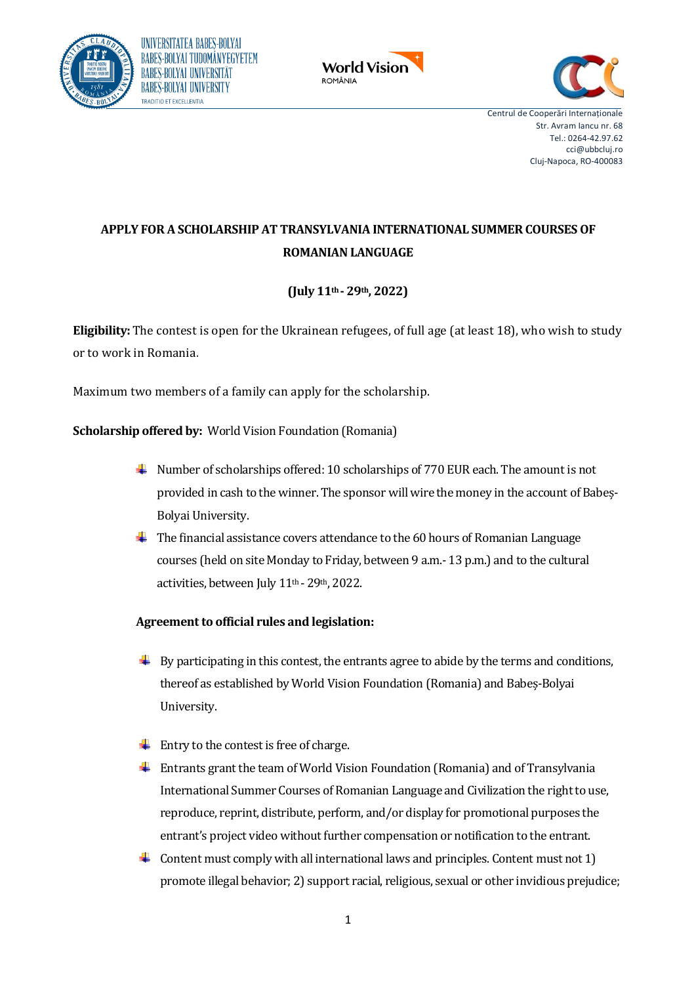





# **APPLY FOR A SCHOLARSHIP AT TRANSYLVANIA INTERNATIONAL SUMMER COURSES OF ROMANIAN LANGUAGE**

# **(July 11th- 29th, 2022)**

**Eligibility:** The contest is open for the Ukrainean refugees, of full age (at least 18), who wish to study or to work in Romania.

Maximum two members of a family can apply for the scholarship.

**Scholarship offered by:** World Vision Foundation (Romania)

- Number of scholarships offered: 10 scholarships of 770 EUR each. The amount is not provided in cash to the winner. The sponsor will wire the money in the account of Babeș-Bolyai University.
- The financial assistance covers attendance to the 60 hours of Romanian Language courses (held on site Monday to Friday, between 9 a.m.- 13 p.m.) and to the cultural activities, between July 11<sup>th</sup> - 29<sup>th</sup>, 2022.

# **Agreement to official rules and legislation:**

- $\overline{\phantom{a} \bullet}$  By participating in this contest, the entrants agree to abide by the terms and conditions, thereof as established by World Vision Foundation (Romania) and Babeș-Bolyai University.
- $\overline{\phantom{a}}$  Entry to the contest is free of charge.
- Entrants grant the team of World Vision Foundation (Romania) and of Transylvania International Summer Courses of Romanian Language and Civilization the right to use, reproduce, reprint, distribute, perform, and/or display for promotional purposes the entrant's project video without further compensation or notification to the entrant.
- $\blacktriangle$  Content must comply with all international laws and principles. Content must not 1) promote illegal behavior; 2) support racial, religious, sexual or other invidious prejudice;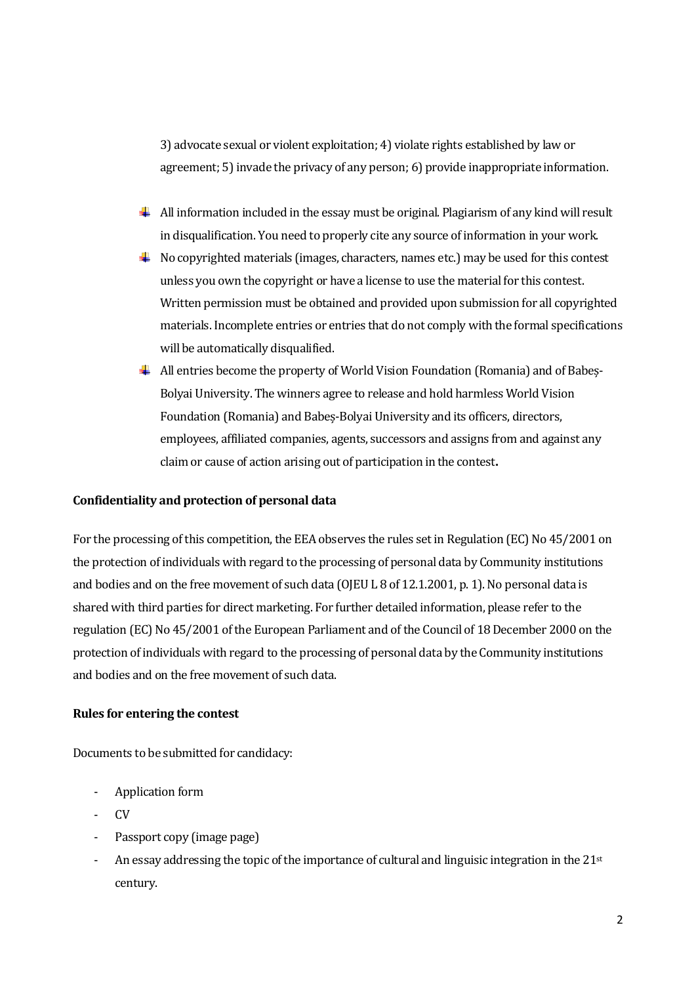3) advocate sexual or violent exploitation; 4) violate rights established by law or agreement; 5) invade the privacy of any person; 6) provide inappropriate information.

- $\perp$  All information included in the essay must be original. Plagiarism of any kind will result in disqualification. You need to properly cite any source of information in your work.
- $\overline{\phantom{a}}$  No copyrighted materials (images, characters, names etc.) may be used for this contest unless you own the copyright or have a license to use the material for this contest. Written permission must be obtained and provided upon submission for all copyrighted materials. Incomplete entries or entries that do not comply with the formal specifications will be automatically disqualified.
- All entries become the property of World Vision Foundation (Romania) and of Babeș-Bolyai University. The winners agree to release and hold harmless World Vision Foundation (Romania) and Babeș-Bolyai University and its officers, directors, employees, affiliated companies, agents, successors and assigns from and against any claim or cause of action arising out of participation in the contest**.**

#### **Confidentiality and protection of personal data**

For the processing of this competition, the EEA observes the rules set in Regulation (EC) No 45/2001 on the protection of individuals with regard to the processing of personal data by Community institutions and bodies and on the free movement of such data (OJEU L 8 of 12.1.2001, p. 1). No personal data is shared with third parties for direct marketing. For further detailed information, please refer to the regulation (EC) No 45/2001 of the European Parliament and of the Council of 18 December 2000 on the protection of individuals with regard to the processing of personal data by the Community institutions and bodies and on the free movement of such data.

#### **Rules for entering the contest**

Documents to be submitted for candidacy:

- Application form
- CV
- Passport copy (image page)
- An essay addressing the topic of the importance of cultural and linguisic integration in the  $21<sup>st</sup>$ century.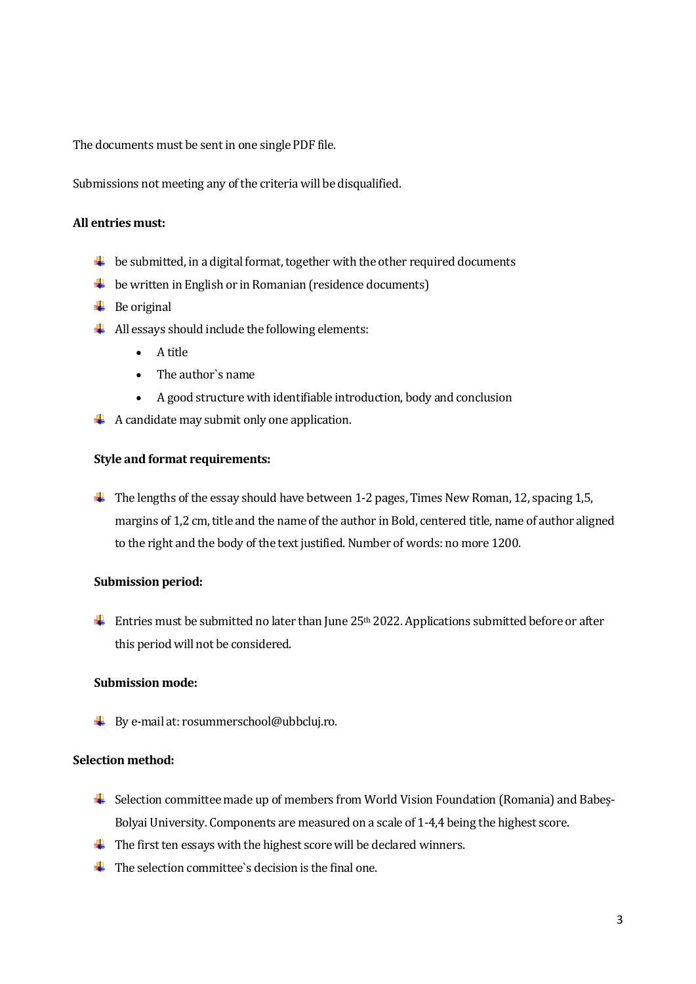The documents must be sent in one single PDF file.

Submissions not meeting any of the criteria will be disqualified.

#### **All entries must:**

- $\ddot{\phantom{1}}$  be submitted, in a digital format, together with the other required documents
- $\downarrow$  be written in English or in Romanian (residence documents)
- $\overline{\phantom{a}}$  Be original
- $\overline{\mathbf{A}}$  All essays should include the following elements:
	- A title
	- The author`s name
	- A good structure with identifiable introduction, body and conclusion
- $\overline{A}$  A candidate may submit only one application.

#### **Style and format requirements:**

 $\ddot{\phantom{1}}$  The lengths of the essay should have between 1-2 pages, Times New Roman, 12, spacing 1,5, margins of 1,2 cm, title and the name of the author in Bold, centered title, name of author aligned to the right and the body of the text justified. Number of words: no more 1200.

#### **Submission period:**

Entries must be submitted no later than June  $25<sup>th</sup> 2022$ . Applications submitted before or after this period will not be considered.

#### **Submission mode:**

By e-mail at: rosummerschool@ubbcluj.ro.

# **Selection method:**

- Selection committee made up of members from World Vision Foundation (Romania) and Babeș-Bolyai University. Components are measured on a scale of 1-4,4 being the highest score.
- $\ddot{\text{I}}$  The first ten essays with the highest score will be declared winners.
- $\overline{\mathbf{I}}$  The selection committee's decision is the final one.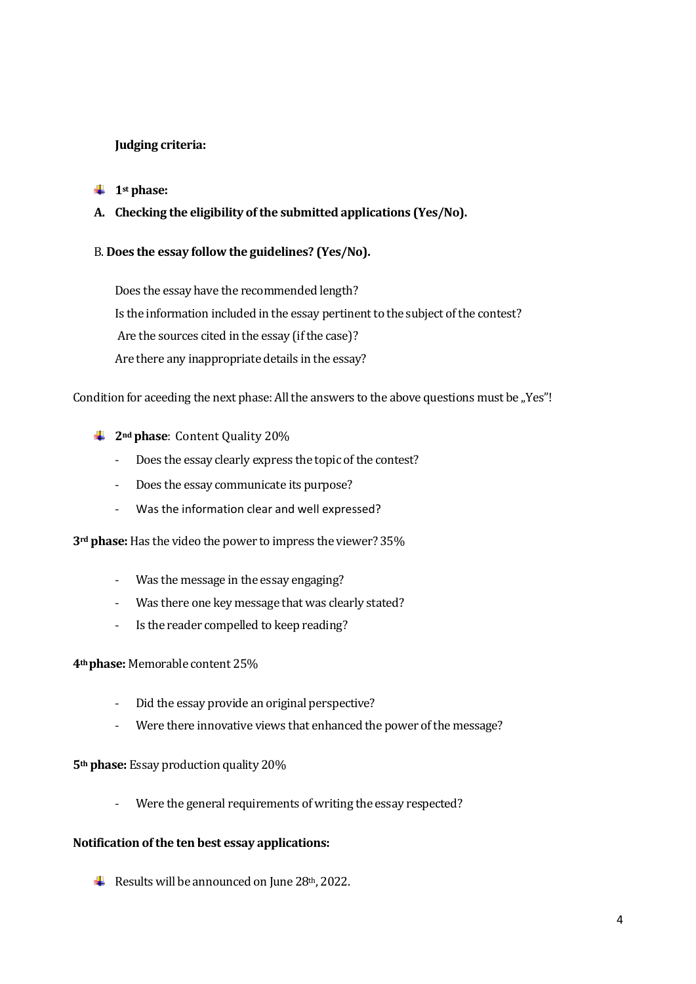# **Judging criteria:**

### $\ddagger$  1<sup>st</sup> phase:

**A. Checking the eligibility of the submitted applications (Yes/No).**

# B. **Does the essay follow the guidelines? (Yes/No).**

Does the essay have the recommended length? Is the information included in the essay pertinent to the subject of the contest? Are the sources cited in the essay (if the case)? Are there any inappropriate details in the essay?

#### Condition for aceeding the next phase: All the answers to the above questions must be "Yes"!

- **2nd phase**: Content Quality 20%
	- Does the essay clearly express the topic of the contest?
	- Does the essay communicate its purpose?
	- Was the information clear and well expressed?

**3rd phase:** Has the video the power to impress the viewer? 35%

- Was the message in the essay engaging?
- Was there one key message that was clearly stated?
- Is the reader compelled to keep reading?

# **4th phase:** Memorable content 25%

- Did the essay provide an original perspective?
- Were there innovative views that enhanced the power of the message?

**5th phase:** Essay production quality 20%

- Were the general requirements of writing the essay respected?

# **Notification of the ten best essay applications:**

Results will be announced on June  $28<sup>th</sup>$ , 2022.